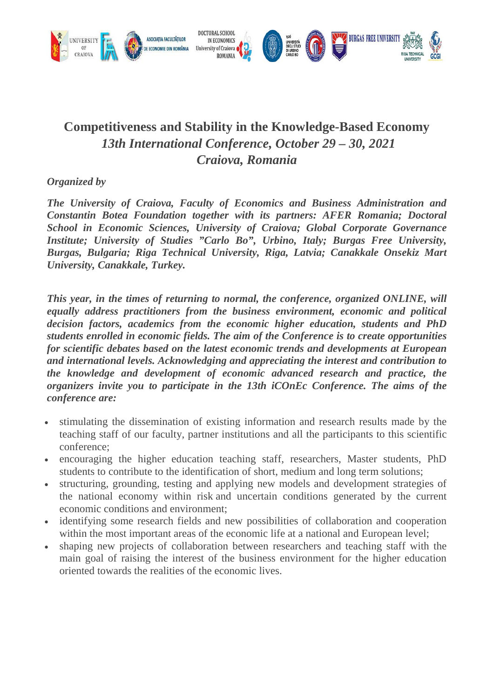

# **Competitiveness and Stability in the Knowledge-Based Economy** *13th International Conference, October 29 – 30, 2021 Craiova, Romania*

## *Organized by*

*The University of Craiova, Faculty of Economics and Business Administration and Constantin Botea Foundation together with its partners: AFER Romania; Doctoral School in Economic Sciences, University of Craiova; Global Corporate Governance Institute; University of Studies "Carlo Bo", Urbino, Italy; Burgas Free University, Burgas, Bulgaria; Riga Technical University, Riga, Latvia; Canakkale Onsekiz Mart University, Canakkale, Turkey.*

*This year, in the times of returning to normal, the conference, organized ONLINE, will equally address practitioners from the business environment, economic and political decision factors, academics from the economic higher education, students and PhD students enrolled in economic fields. The aim of the Conference is to create opportunities for scientific debates based on the latest economic trends and developments at European and international levels. Acknowledging and appreciating the interest and contribution to the knowledge and development of economic advanced research and practice, the organizers invite you to participate in the 13th iCOnEc Conference. The aims of the conference are:*

- stimulating the dissemination of existing information and research results made by the teaching staff of our faculty, partner institutions and all the participants to this scientific conference;
- encouraging the higher education teaching staff, researchers, Master students, PhD students to contribute to the identification of short, medium and long term solutions;
- structuring, grounding, testing and applying new models and development strategies of the national economy within risk and uncertain conditions generated by the current economic conditions and environment;
- identifying some research fields and new possibilities of collaboration and cooperation within the most important areas of the economic life at a national and European level;
- shaping new projects of collaboration between researchers and teaching staff with the main goal of raising the interest of the business environment for the higher education oriented towards the realities of the economic lives.